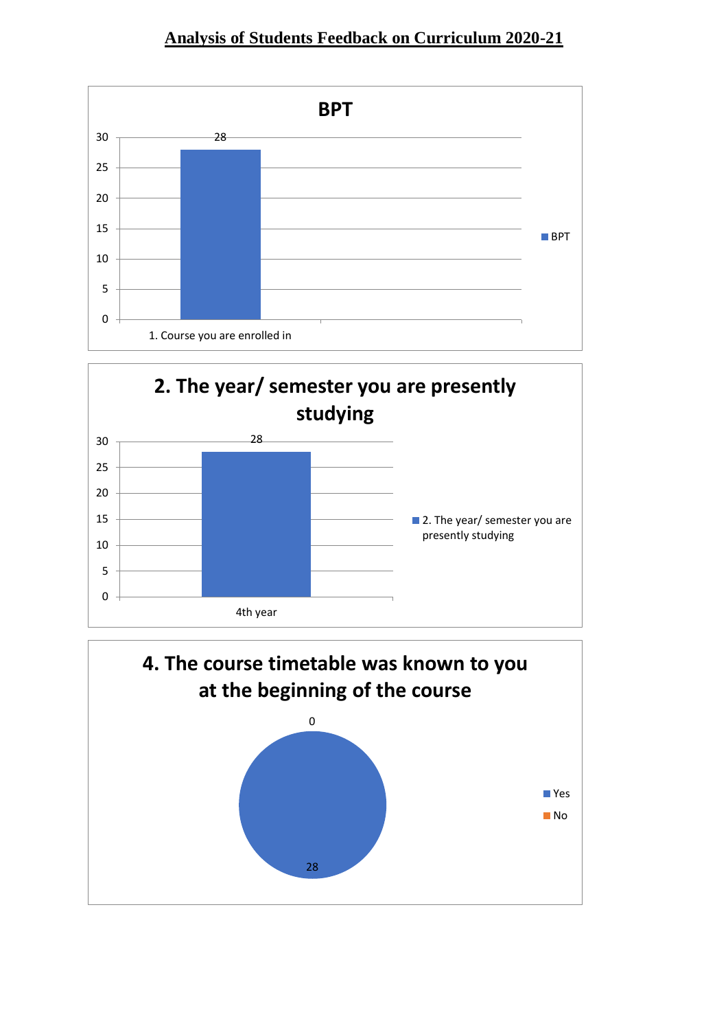



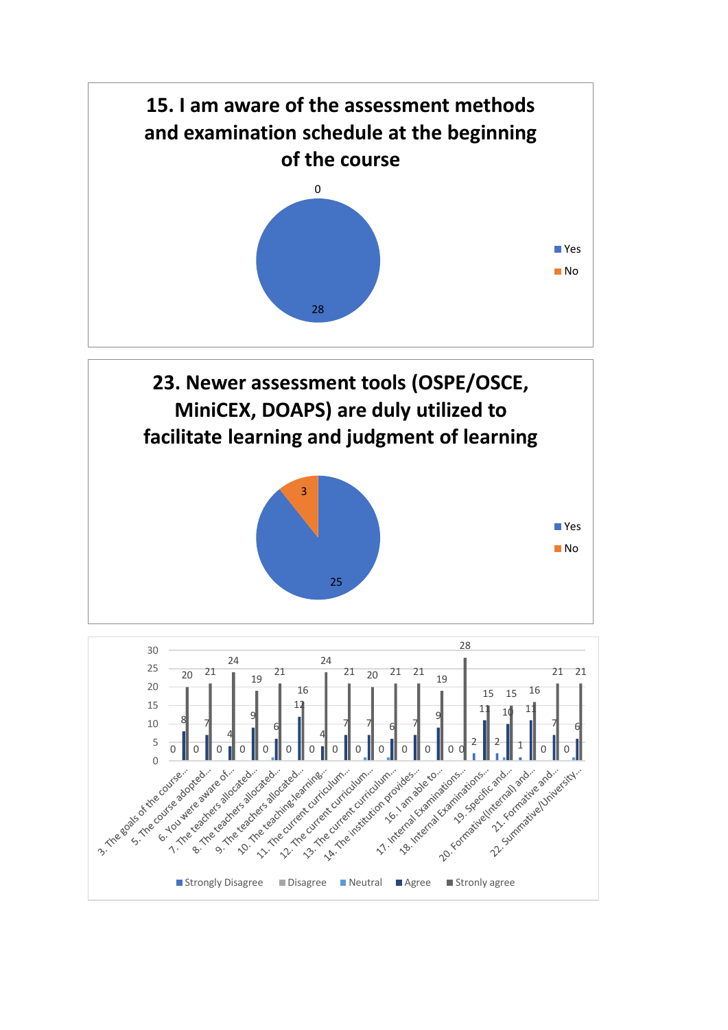